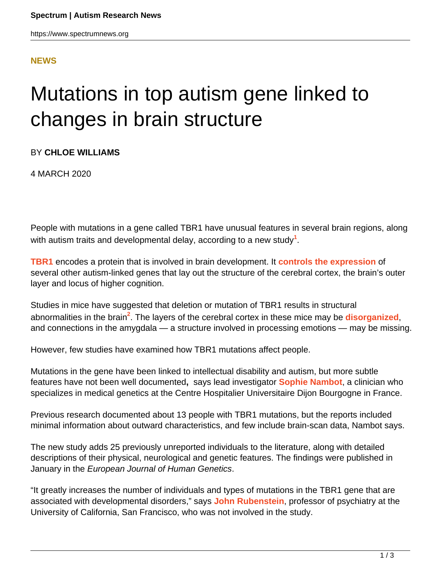### **[NEWS](HTTPS://WWW.SPECTRUMNEWS.ORG/NEWS/)**

# Mutations in top autism gene linked to changes in brain structure

#### BY **CHLOE WILLIAMS**

4 MARCH 2020

People with mutations in a gene called TBR1 have unusual features in several brain regions, along with autism traits and developmental delay, according to a new study**<sup>1</sup>** .

**[TBR1](https://gene.sfari.org/database/human-gene/TBR1)** encodes a protein that is involved in brain development. It **[controls the expression](https://www.spectrumnews.org/news/top-autism-gene-may-rewire-brain-altering-expression-genes/)** of several other autism-linked genes that lay out the structure of the cerebral cortex, the brain's outer layer and locus of higher cognition.

Studies in mice have suggested that deletion or mutation of TBR1 results in structural abnormalities in the brain<sup>2</sup>. The layers of the cerebral cortex in these mice may be [disorganized](https://www.spectrumnews.org/news/molecular-mechanisms-autism-gene-regulates-brain-structure/), and connections in the amygdala — a structure involved in processing emotions — may be missing.

However, few studies have examined how TBR1 mutations affect people.

Mutations in the gene have been linked to intellectual disability and autism, but more subtle features have not been well documented**,** says lead investigator **[Sophie Nambot](https://www.canceropole-est.org/la-recherche/annuaire-du-canceropole-est/personnes/detail?id=3425)**, a clinician who specializes in medical genetics at the Centre Hospitalier Universitaire Dijon Bourgogne in France.

Previous research documented about 13 people with TBR1 mutations, but the reports included minimal information about outward characteristics, and few include brain-scan data, Nambot says.

The new study adds 25 previously unreported individuals to the literature, along with detailed descriptions of their physical, neurological and genetic features. The findings were published in January in the European Journal of Human Genetics.

"It greatly increases the number of individuals and types of mutations in the TBR1 gene that are associated with developmental disorders," says **[John Rubenstein](https://www.spectrumnews.org/author/jrubenstein/)**, professor of psychiatry at the University of California, San Francisco, who was not involved in the study.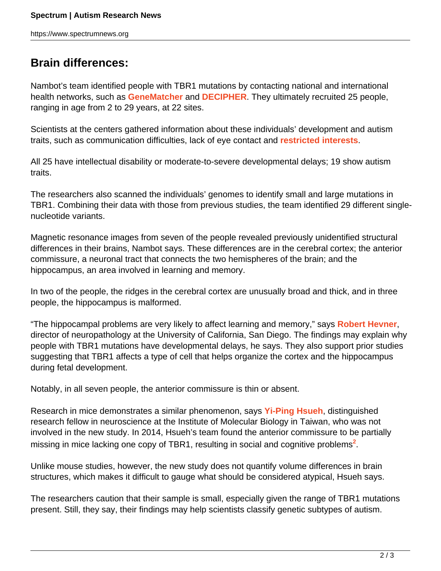## **Brain differences:**

Nambot's team identified people with TBR1 mutations by contacting national and international health networks, such as **[GeneMatcher](https://genematcher.org/)** and **[DECIPHER](https://decipher.sanger.ac.uk/)**. They ultimately recruited 25 people, ranging in age from 2 to 29 years, at 22 sites.

Scientists at the centers gathered information about these individuals' development and autism traits, such as communication difficulties, lack of eye contact and **[restricted interests](https://www.spectrumnews.org/news/repetitive-behaviors-and-stimming-in-autism-explained/)**.

All 25 have intellectual disability or moderate-to-severe developmental delays; 19 show autism traits.

The researchers also scanned the individuals' genomes to identify small and large mutations in TBR1. Combining their data with those from previous studies, the team identified 29 different singlenucleotide variants.

Magnetic resonance images from seven of the people revealed previously unidentified structural differences in their brains, Nambot says. These differences are in the cerebral cortex; the anterior commissure, a neuronal tract that connects the two hemispheres of the brain; and the hippocampus, an area involved in learning and memory.

In two of the people, the ridges in the cerebral cortex are unusually broad and thick, and in three people, the hippocampus is malformed.

"The hippocampal problems are very likely to affect learning and memory," says **[Robert Hevner](https://www.spectrumnews.org/author/roberthevner/)**, director of neuropathology at the University of California, San Diego. The findings may explain why people with TBR1 mutations have developmental delays, he says. They also support prior studies suggesting that TBR1 affects a type of cell that helps organize the cortex and the hippocampus during fetal development.

Notably, in all seven people, the anterior commissure is thin or absent.

Research in mice demonstrates a similar phenomenon, says **[Yi-Ping Hsueh](http://www.imb.sinica.edu.tw/~hsueh/index.html)**, distinguished research fellow in neuroscience at the Institute of Molecular Biology in Taiwan, who was not involved in the new study. In 2014, Hsueh's team found the anterior commissure to be partially missing in mice lacking one copy of TBR1, resulting in social and cognitive problems**<sup>2</sup>** .

Unlike mouse studies, however, the new study does not quantify volume differences in brain structures, which makes it difficult to gauge what should be considered atypical, Hsueh says.

The researchers caution that their sample is small, especially given the range of TBR1 mutations present. Still, they say, their findings may help scientists classify genetic subtypes of autism.